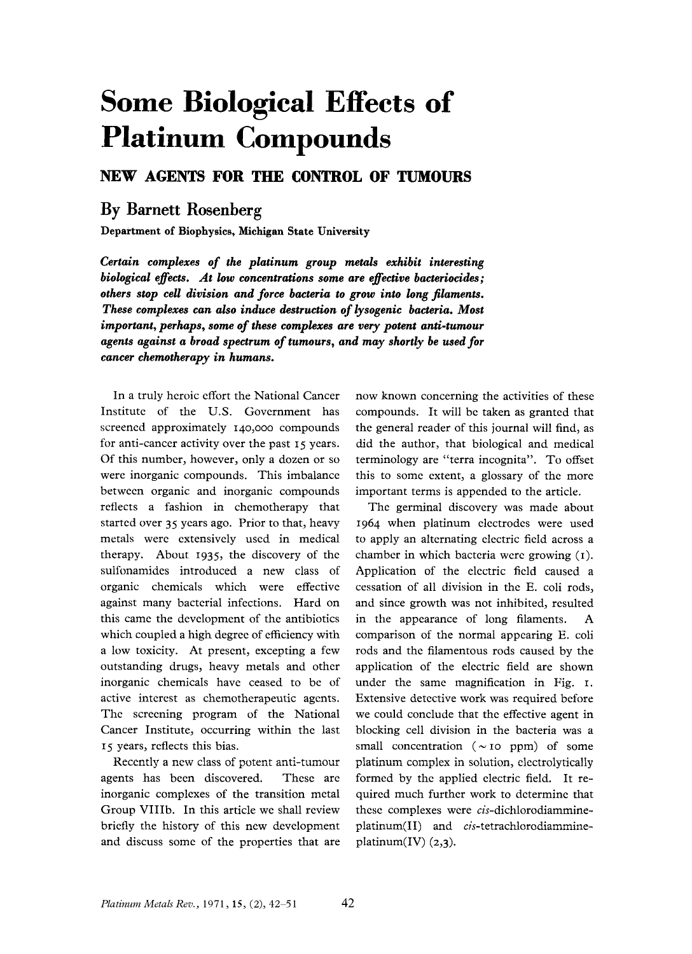# **Some Biological Effects of Platinum Compounds**

# **NEW AGENTS FOR THE CONTROL OF TUMOURS**

# **By Barnett Rosenberg**

**Department of Biophysics, Michigan State University** 

*Certain complexes of the platinum group metals exhibit interesting biological efects. At low concentrations some are efective baeteriocides; others stop cell division and force bacteria to grow into long filaments. These complexes can also induce destruction of lysogenic bacteria. Most important, perhaps, some of these complexes are very potent anti-tumour agents against a broad spectrum of tumours, and may shortly be used for cancer Chemotherapy in humans.* 

In a truly heroic effort the National Cancer Institute of the U.S. Government has screened approximately **140,000** compounds for anti-cancer activity over the past **15** years. Of this number, however, only a dozen or so were inorganic compounds. This imbalance between organic and inorganic compounds reflects a fashion in chemotherapy that started over 35 years ago. Prior to that, heavy metals were extensively used in medical therapy. About **1935,** the discovery of the sulfonamides introduced a new class of organic chemicals which were effective against many bacterial infections. Hard on this came the development of the antibiotics which coupled a high degree of efficiency with a low toxicity. At present, excepting a few outstanding drugs, heavy metals and other inorganic chemicals have ceased to be of active interest as chemotherapeutic agents. The screening program of the National Cancer Institute, occurring within the last **15** years, reflects this bias.

Recently a new class of potent anti-tumour agents has been discovered. These are inorganic complexes of the transition metal Group VIIIb. In this article we shall review briefly the history of this new development and discuss some of the properties that are now known concerning the activities of these compounds. It will be taken as granted that the general reader of this journal will find, as did the author, that biological and medical terminology are "terra incognita". To offset this to some extent, a glossary of the more important terms is appended to the article.

The germinal discovery was made about **1964** when platinum electrodes were used to apply an alternating electric field across a chamber in which bacteria were growing **(I).**  Application of the electric field caused a cessation of all division in the E. coli rods, and since growth was not inhibited, resulted in the appearance of long filaments, A comparison of the normal appearing E. coli rods and the filamentous rods caused by the application of the electric field are shown under the same magnification in Pig. **I.**  Extensive detective work was required before we could conclude that the effective agent in blocking cell division in the bacteria was a small concentration  $({\sim}\;$  10 ppm) of some platinum complex in solution, electrolytically formed by the applied electric field. It required much further work to determine that these complexes were cis-dichlorodiammineplatinum(II) and *cis*-tetrachlorodiammineplatinum(1V) **(2,3).**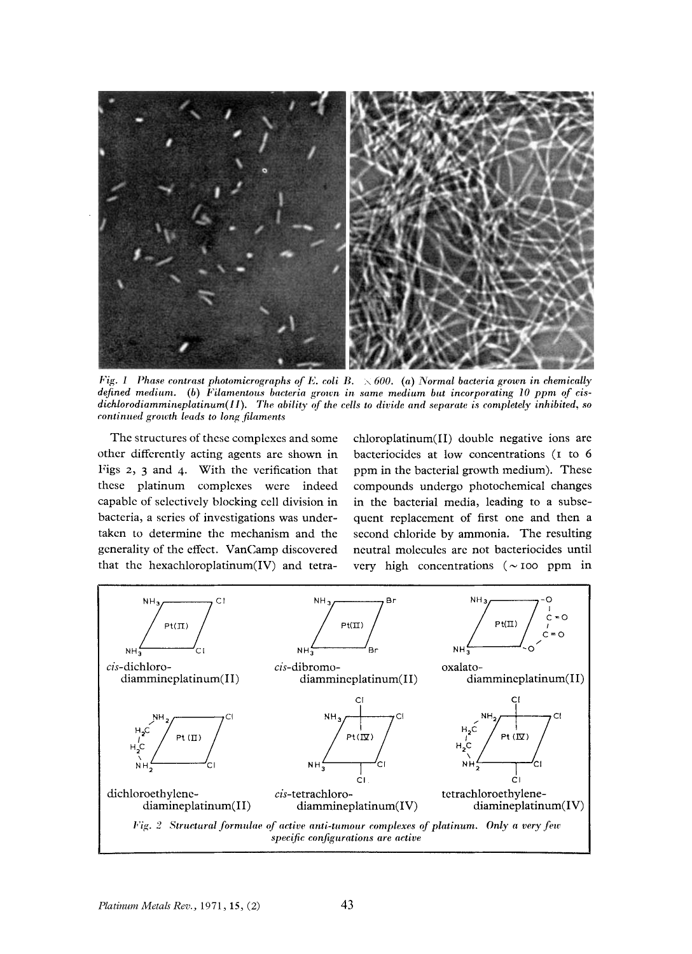

Fig. 1 Phase contrast photomicrographs of E. coli B.  $\times 600$ . (a) Normal bacteria grown in chemically *rd mcdiuni. (I)) Filanio~atoris bctrterin grown in sume medium but incorporating I0 ppm I\$ ris-dejined dichlorodiammineplatinum(II). The ability of the cells to divide and separate is completely inhibited, so*  $continued$  growth leads to long filaments

The structures of these complexes and some chloroplatinum(I1) double negative ions are other differently acting agents are shown in bacteriocides at low concentrations (I to 6 Figs *2,* **3** and 4. With the verification that ppm in the bacterial growth medium). These these platinum complexes were indeed compounds undergo photochemical changes capable of selectively blocking cell division in in the bacterial media, leading to a subsebacteria, a series of investigations was under- quent replacement of first one and then a taken to determine the mechanism and the second chloride by ammonia. The resulting generality of the effect. VanCamp discovered neutral molecules arc not bacteriocides until that the hexachloroplatinum(IV) and tetra- very high concentrations  $(\sim$  100 ppm in

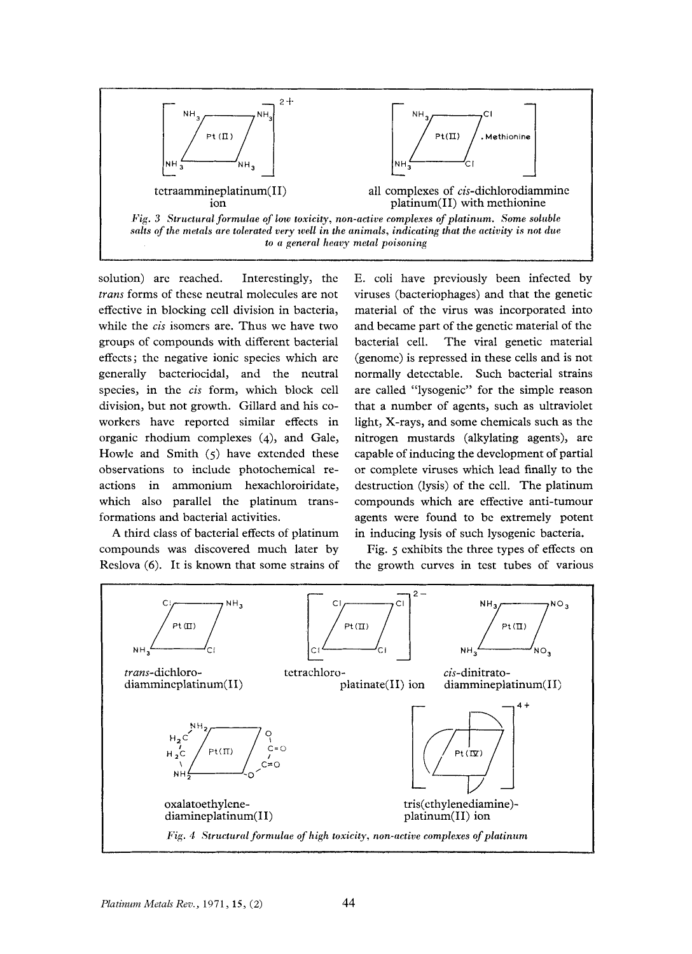

solution) are reached. Interestingly, the trans forms of these neutral molecules are not effective in blocking cell division in bacteria, while the *cis* isomers are. Thus we have two groups of compounds with different bacterial effects; the negative ionic species which are generally bacteriocidal, and the neutral species, in the *cis* form, which block cell division, but not growth. Gillard and his coworkers have reported similar effects in organic rhodium complexes (4), and Gale, Howle and Smith (5) have extended these observations to include photochemical reactions in ammonium hexachloroiridate, which also parallel the platinum transformations and bacterial activities.

A third class of bacterial effects of platinum compounds was discovered much later by Keslova (6). It is known that some strains **of**  E. coli have previously been infected by viruses (bacteriophages) and that the genetic material of the virus was incorporated into and became part of the genetic material of the bacterial cell. The viral genetic material (genome) is repressed in these cells and is not normally detectable. Such bacterial strains are called "lysogenic" for the simple reason that a number of agents, such as ultraviolet light, X-rays, and some chemicals such as the nitrogen mustards (alkylating agents), are capable of inducing the development of partial or complete viruses which lead finally to the destruction (lysis) of the cell. The platinum compounds which are effective anti-tumour agents were found to be extremely potent in inducing lysis of such lysogenic bacteria.

Fig. 5 exhibits the three types of effects on the growth curves in test tubes of various

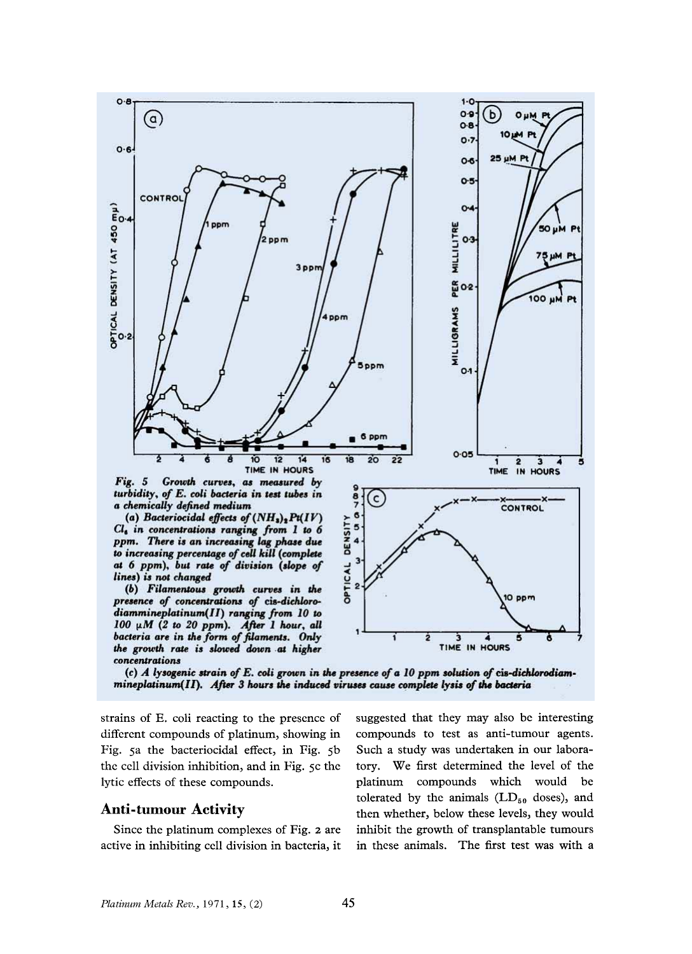

 $Cl<sub>6</sub>$  in concentrations ranging from 1 to 6 ppm. There is an increasing lag phase due to increasing percentage of cell kill (complete at 6 ppm), but rate of division (slope of lines) is not changed

(b) Filamentous growth curves in the presence of concentrations of cis-dichlorodiammineplatinum(II) ranging from 10 to  $100~\mu M$  (2 to 20 ppm). After I hour, all bacteria are in the form of filaments. Only the growth rate is slowed down at higher concentrations





strains of E. coli reacting to the presence of different compounds of platinum, showing in Fig. 5a the bacteriocidal effect, in Fig. 5b the cell division inhibition, and in Fig. 5c the lytic effects of these compounds.

#### **Anti-tumour Activity**

Since the platinum complexes of Fig. z are active in inhibiting cell division in bacteria, it suggested that they may also be interesting compounds to test as anti-tumour agents. Such a study was undertaken in our laboratory. We first determined the level of the platinum compounds which would be tolerated by the animals  $(LD_{50}$  doses), and then whether, below these levels, they would inhibit the growth of transplantable tumours in these animals. The first test was with **a**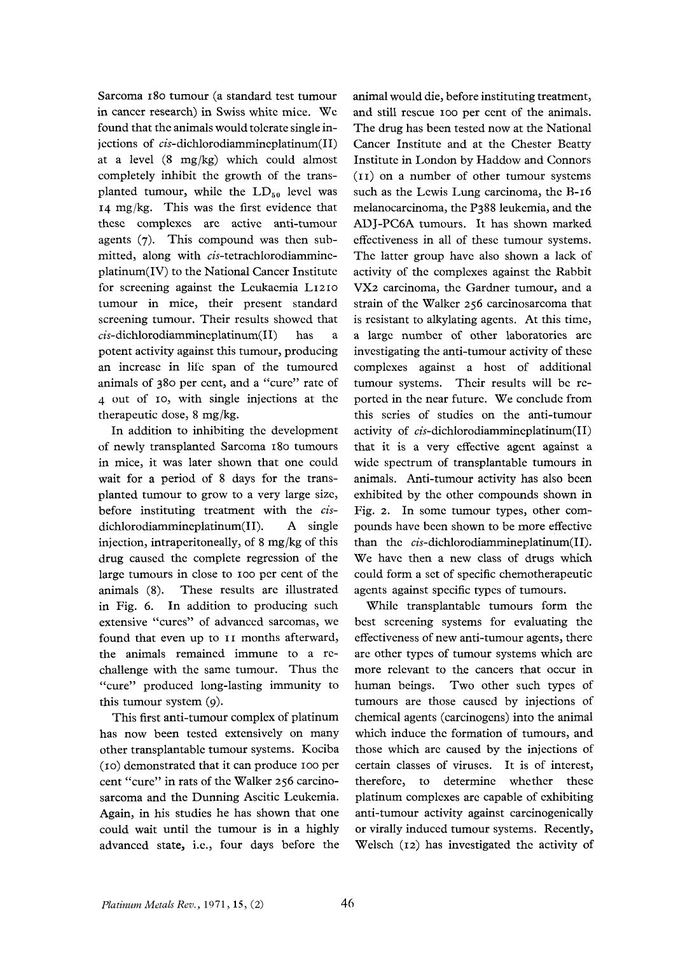Sarcoma **180** tumour (a standard test tumour in cancer research) in Swiss white mice. We found that the animals would tolerate single injections of **cis-dichlorodiammineplatinum(I1)**  at a level (8 mg/kg) which could almost completely inhibit the growth of the transplanted tumour, while the  $LD_{50}$  level was **14** mg/kg. This was the first evidence that these complexes are active anti-tumour agents **(7).** This compound was then submitted, along with cis-tetrachlorodiammincplatinum(1V) to the National Cancer Institute for screening against the Leukaemia LIZIO tumour in mice, their present standard screening tumour. Their results showed that **cis-dichlorodiammineplatinum(I1)** has a potent activity against this tumour, producing an increase in life span of the tumoured animals of 380 per cent, and a "cure" rate of 4 out of **10,** with single injections at the therapeutic dose, 8 mg/kg.

In addition to inhibiting the development of newly transplanted Sarcoma **180** tumours in mice, it was later shown that one could wait for a period of 8 days for the transplanted tumour to grow to a very large size, before instituting treatment with the *cis*dichlorodiammineplatinum(I1). A single injection, intraperitoneally, of 8 mg/kg of this drug caused the complete regression of the large tumours in close to **IOO** per cent of the animals (8). These results are illustrated in Fig. 6. In addition to producing such extensive "cures" of advanced sarcomas, we found that even up to 11 months afterward, the animals remained immune to a rechallenge with the same tumour. Thus the "cure" produced long-lasting immunity to this tumour system (9).

This first anti-tumour complex of platinum has now been tested extensively on many other transplantable tumour systems. Kociba **(10)** demonstrated that it can produce 100 per cent "cure" in rats of the Walker 256 carcinosarcoma and the Dunning Ascitic Leukemia. Again, in his studies he has shown that one could wait until the tumour is in a highly advanced state, i.c., four days before the animal would die, before instituting treatment, and still rescue IOO per cent of the animals. The drug has been tested now at the National Cancer Institute and at the Chester Beatty Institute in London by Haddow and Connors **(11)** on a number of other tumour systems such as the Lewis Lung carcinoma, the B-16 melanocarcinoma, the P388 leukemia, and the ADJ-PC6A tumours. It has shown marked effectiveness in all of these tumour systems. The latter group have also shown a lack of activity of the complexes against the Rabbit VX2 carcinoma, the Gardner tumour, and a strain of the Walker 256 carcinosarcoma that is resistant to alkylating agents. At this time, a large number of other laboratories are investigating the anti-tumour activity of these complexes against a host of additional tumour systems. Their results will be reported in the near future. We conclude from this series of studies on the anti-tumour activity of **cis-dichlorodiammineplatinum(I1)**  that it is a very effective agent against a wide spectrum of transplantable tumours in animals. Anti-tumour activity has also been exhibited by the other compounds shown in Fig. *2.* In some tumour types, other compounds have been shown to be more effective than the **cis-dichlorodiammineplatinum(I1).**  We have then a new class of drugs which could form a set of specific chemotherapeutic agents against specific types of tumours.

While transplantable tumours form the best screening systems for evaluating the effectiveness of new anti-tumour agents, there are other types of tumour systems which are more relevant to the cancers that occur in human beings. Two other such types of tumours are those caused by injections of chemical agents (carcinogens) into the animal which induce the formation of tumours, and those which are caused by the injections of certain classes of viruses. It is of interest, therefore, to determine whether these platinum complexes are capable of exhibiting anti-tumour activity against carcinogenically or virally induced tumour systems. Recently, Welsch **(12)** has investigated the activity of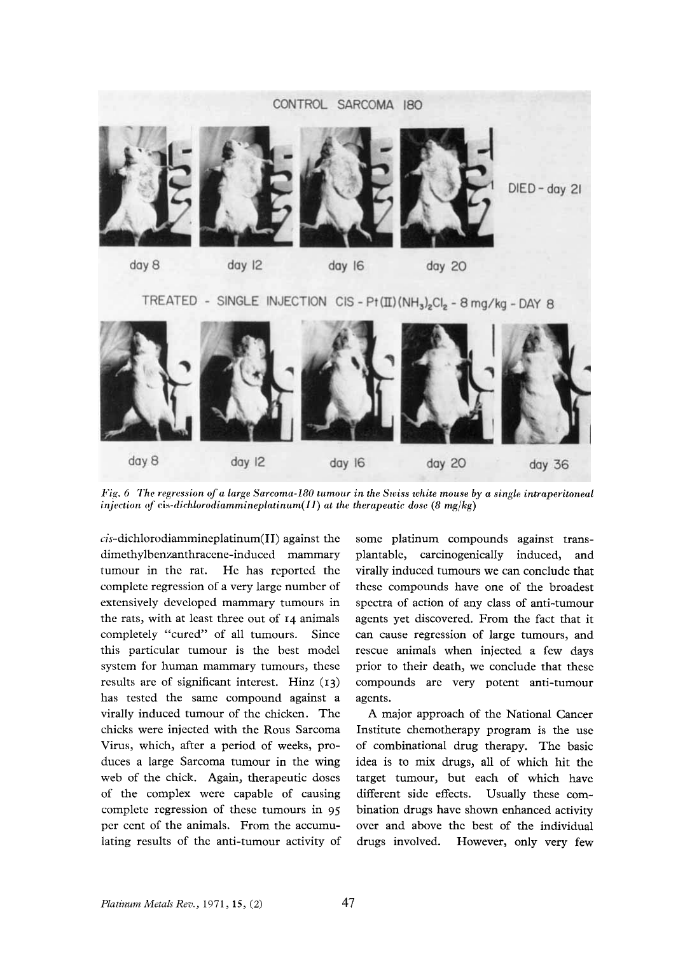

*Fig.* 6 The regression of a large Sarcoma-180 tumour in the Swiss white mouse by a single intraperitoneal *injection of cis-dichlorodiammineplatinum(* $II$ *) at the therapeutic dose (8 mg/kg)* 

**ci,-dichlorodiammineplatinum(I1)** against the **dimethylbenzanthracene-induced** mammary tumour in the rat. He has reported the complete regression of a very large number of extensively developed mammary tumours in the rats, with at least three out of **14** animals completely "cured" of all tumours. Since this particular tumour is the bcst model system for human mammary tumours, these results are of significant interest. Hinz **(13)**  has tested the same compound against a virally induced tumour of the chicken. The chicks were injected with the Rous Sarcoma Virus, which, after a period of weeks, produces a large Sarcoma tumour in the wing web of the chick. Again, therapeutic doses of the complex were capable of causing complete regression of these tumours in 95 per cent of the animals. From the accumulating results of the anti-tumour activity of some platinum compounds against transplantable, carcinogenically induced, and virally induced tumours we can conclude that these compounds have one of the broadest spectra of action of any class of anti-tumour agents yet discovered. From the fact that it can cause regression of large tumours, and rescue animals when injected a few days prior to their death, we conclude that these compounds are very potent anti-tumour agents.

**A** major approach of the National Cancer Institute chemotherapy program is the use of combinational drug therapy. The basic idea is to mix drugs, all of which hit the target tumour, but each of which have different side effects. Usually these combination drugs have shown enhanced activity over and above the best of the individual drugs involved. However, only very few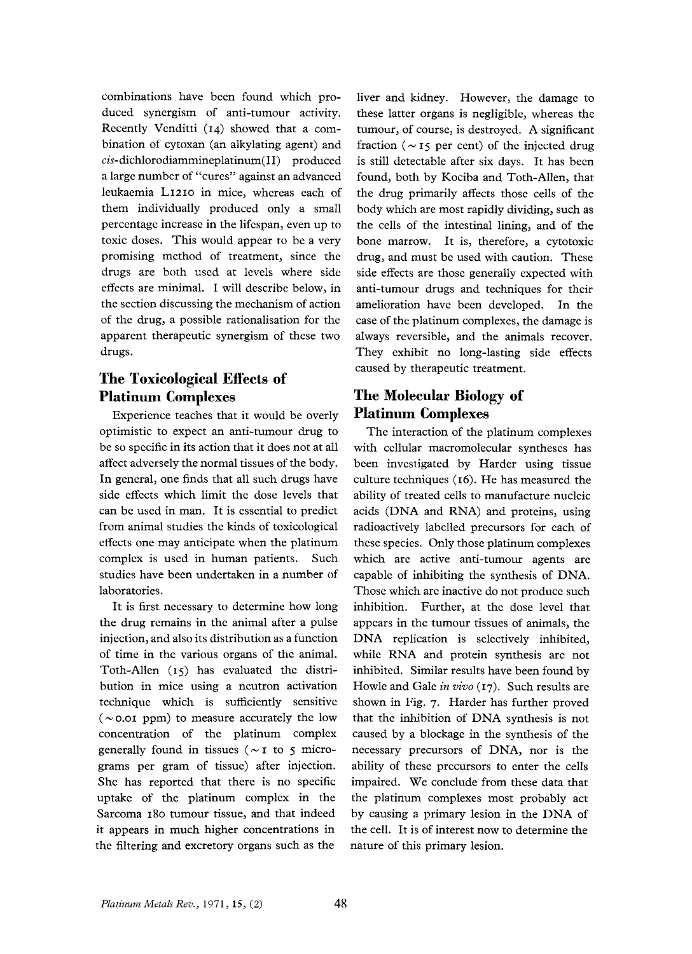combinations have been found which produced synergism of anti-tumour activity. Recently Venditti **(14)** showed that a combination of cytoxan (an alkylating agent) and **cis-dichlorodiammineplatinum(I1)** produced a large number of "cures" against an advanced leukaemia LIZIO in mice, whereas each of them individually produced only a small percentage increase in the lifespan, even up to toxic doses. This would appear to be a very promising method of treatment, since the drugs are both used at levels where side effects are minimal. I will describe below, in the section discussing the mechanism of action of the drug, a possible rationalisation for the apparent therapeutic synergism of these two drugs.

### **The Toxicological Effects of Platinum Complexes**

Experience teaches that it would be overly optimistic to expect an anti-tumour drug to be so specific in its action that it does not at all affect adversely the normal tissues of the body. In general, one finds that all such drugs have side effects which limit the dose levels that can be used in man. It is essential to predict from animal studies the kinds of toxicological effects one may anticipate when the platinum complex is used in human patients. Such studies have been undertaken in a number of laboratories.

It is first necessary to determine how long the drug remains in the animal after a pulse injection, and also its distribution as a function of time in the various organs of the animal. Toth-Allen (15) has evaluated the distribution in mice using a neutron activation technique which is sufficiently sensitive  $(\sim$  0.01 ppm) to measure accurately the low concentration of the platinum complex generally found in tissues  $({\sim}$  I to 5 micrograms per gram of tissue) after injection. She has reported that there is no specific uptake of the platinum complex in the Sarcoma 180 tumour tissue, and that indeed it appears in much higher concentrations in the filtering and excretory organs such as the

liver and kidney. However, the damage to these latter organs is negligible, whereas the tumour, of course, is destroyed. A significant fraction ( $\sim$  15 per cent) of the injected drug is still detectable after six days. It has been found, both by Kociba and Toth-Allen, that the drug primarily affects those cells of the body which are most rapidly dividing, such as the cells of the intestinal lining, and of the bone marrow. It is, therefore, a cytotoxic drug, and must be used with caution. These side effects are those generally expected with anti-tumour drugs and techniques for their amelioration have been developed. In the case of the platinum complexes, the damage is always reversible, and the animals recover. They exhibit no long-lasting side effects caused by therapeutic treatment.

## **The Molecular Biology of Platinum Complexes**

The interaction of the platinum complexes with cellular macromolecular syntheses has been investigated by Harder using tissue culture techniques (16). He has measured the ability of treated cells to manufacture nucleic acids (DNA and RNA) and proteins, using radioactively labelled precursors for each of these species. Only those platinum complexes which are active anti-tumour agents are capable of inhibiting the synthesis of DNA. Those which are inactive do not produce such inhibition. Further, at the dose level that appears in the tumour tissues of animals, the DNA replication is selectively inhibited, while RNA and protein synthesis are not inhibited. Similar results have been found by Howle and Gale *in vivo* **(17).** Such results are shown in Fig. 7. Harder has further proved that the inhibition of DNA synthesis is not caused by a blockage in the synthesis of the necessary precursors of DNA, nor is the ability of these precursors to enter the cells impaired. We conclude from these data that the platinum complexes most probably act by causing a primary lesion in the DNA of the cell. It is of interest now to determine the nature of this primary lesion.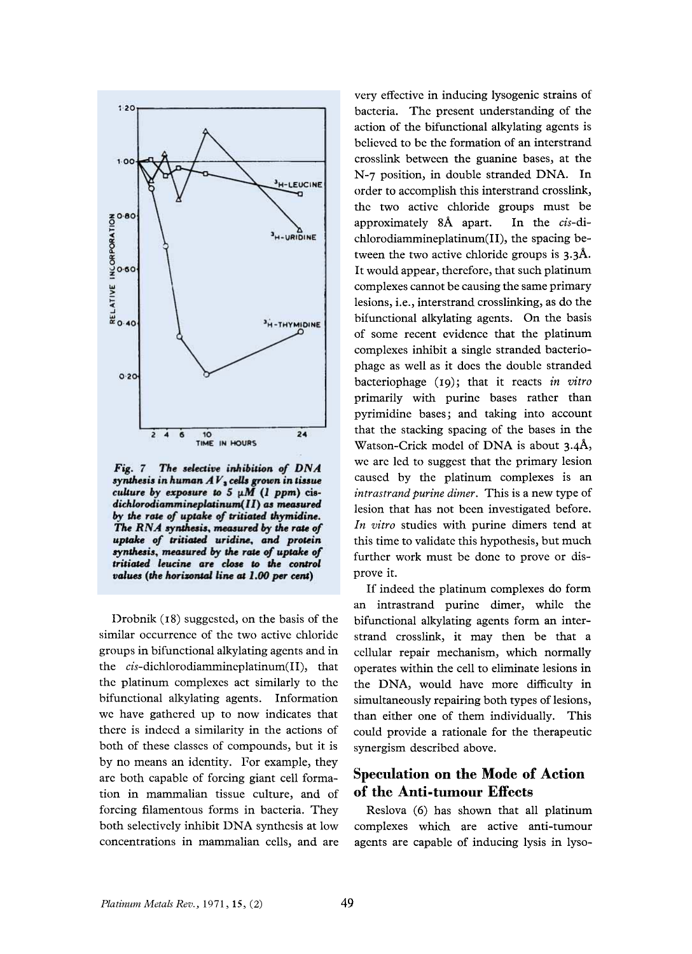

Fig. 7 The selective inhibition of DNA synthesis in human AV<sub>s</sub> cells grown in tissue culture by exposure to 5  $\mu$ M (1 ppm) cisdichlorodiammineplatinum(II) as measured by the rate of uptake of tritiated thymidine. The RNA synthesis, measured by the rate of uptake of tritiated uridine, and protein synthesis, measured by the rate of uptake of tritiated leucine are close to the control values (the horizontal line at 1.00 per cent)

Ihobnik **(IS)** suggested, on the basis of the similar occurrence of the two active chloride groups in bifunctional alkylating agents and in the **cis-dichlorodiammincplatinum(II),** that the platinum complexes act similarly to the bifunctional alkylating agents. Information we have gathered up to now indicates that there is indccd **a** similarity in the actions of both of these classes of compounds, but it is by no means an idcntity. For example, they are both capable of forcing giant cell formation in mammalian tissue culture, and of forcing filamentous forms in bacteria. They both selectively inhibit DNA synthesis at low concentrations in mammalian cells, and are

very effective in inducing lysogenic strains of bacteria. The present understanding of the action of the bifunctional alkylating agents is believcd to be the formation of an interstrand crosslink between the guanine bases, at the N-7 position, in double stranded DNA. In order to accomplish this interstrand crosslink, the two active chloride groups must be approximately **8A** apart. In the cis-dichlorodiammineplatinum(II), the spacing between the two active chloride groups is **3.3A.**  It would appear, thcrcforc, that such platinum complexes cannot be causing the same primary lesions, i.e., interstrand crosslinking, as do the bifunctional alkylating agents. On the basis of some recent evidence that the platinum complexes inhibit a single stranded bacteriophage as well as it does the double stranded bacteriophage (19); that it reacts in *vitro*  primarily with purine bases rather than pyrimidine bases; and taking into account that the stacking spacing of the bases in the Watson-Crick model of DNA is about **3.4A,**  we arc led to suggest that the primary lesion caused by the platinum complexes is an intrastrand purine dimer. This is a new type of lesion that has not been investigated before. *In* vitro studies with purine dimers tend at this time to validatc this hypothesis, but much further work must be done to prove or disprove it.

If indeed the platinum complexes do form an intrastrand purine dimer, while the bifunctional alkylating agents form an interstrand crosslink, it may then be that a ccllular repair mechanism, which normally operates within the cell to eliminate lesions in the DNA, would have more difficulty in simultaneously repairing both types of lesions, than either one of them individually. This could provide a rationale for the therapeutic synergism described above.

#### **Speculation on the Mode of Action of the Anti-tumour Effects**

Reslova (6) has shown that all platinum complexes which are active anti-tumour agents are capable of inducing lysis in lyso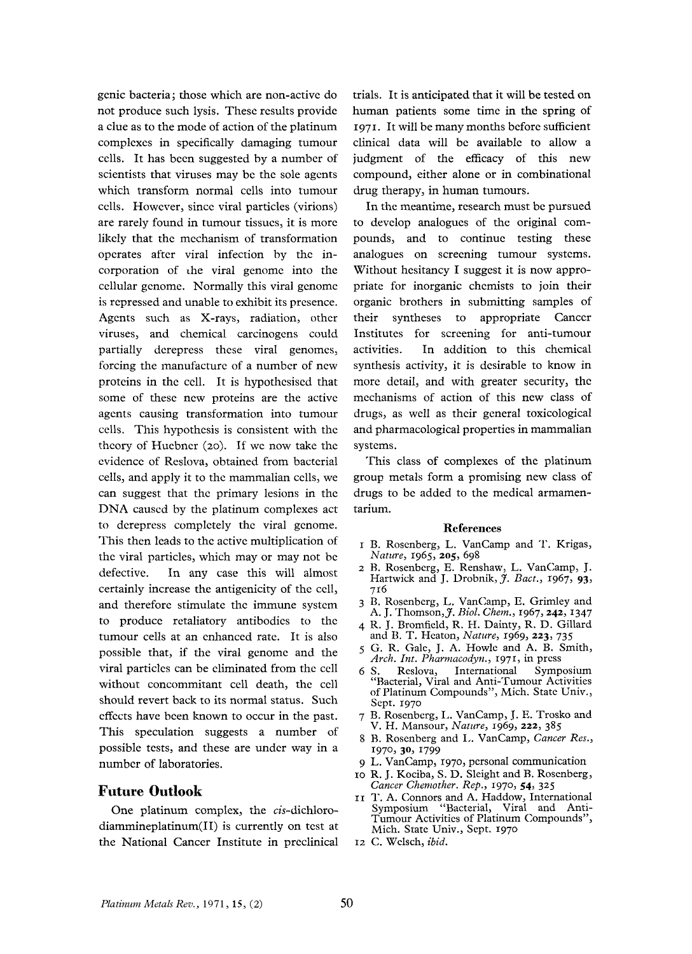genic bacteria; those which are non-active do not produce such lysis. These results provide a clue as to the mode of action of the platinum complexes in specifically damaging tumour cells. It has been suggested by a number of scientists that viruses may be the sole agents which transform normal cells into tumour cells. Howerer, since viral particles (virions) are rarely found in tumour tissues, it is more likely that the mechanism of transformation operates after viral infection by the incorporation of the viral genome into the cellular genome. Normally this viral genome is repressed and unable to exhibit its presence. Agents such as X-rays, radiation, other viruses, and chemical carcinogens could partially derepress these viral genomes, forcing the manufacture of a number of new proteins in the cell. It is hypothesised that some of these new proteins are the active agents causing transformation into tumour cells. This hypothesis is consistent with the theory of Huebner (20). If we now take the evidence of Reslova, obtained from bacterial cells, and apply it to the mammalian cells, we can suggest that the primary lesions in the DNA caused by the platinum complexes act to derepress completely the viral genome. This then leads to the active multiplication of the viral particles, which may or may not be defective. In any case this will almost certainly increase the antigenicity of the cell, and therefore stimulate the immune system to produce retaliatory antibodies to the tumour cells at an enhanced rate. It is also possible that, if the viral genome and the viral particles can be eliminated from the cell without concommitant cell death, the cell should revert back to its normal status. Such effects have been known to occur in the past. This speculation suggests a number of possible tests, and these are under way in a number of laboratories.

#### **Future Outlook**

One platinum complex, the cis-dichlorodiammineplatinum(I1) is currently on test at the National Cancer Institute in preclinical trials. It is anticipated that it will be tested on human patients some time in the spring of **1971.** It will be many months before sufficient clinical data will be available to allow a judgment of the efficacy of this new compound, either alone or in combinational drug therapy, in human tumours.

In the meantime, research must be pursued to develop analogues of the original compounds, and to continue testing these analogues on screening tumour systems. Without hesitancy I suggest it is now appropriate for inorganic chemists to join their organic brothers in submitting samples of their syntheses to appropriate Cancer Institutes for screening for anti-tumour activities. In addition to this chemical synthesis activity, it is desirable to know in more detail, and with greater security, the mechanisms of action of this new class of drugs, as well as their general toxicological and pharmacological properties in mammalian systems.

'This class of complexes of the platinum group metals form a promising new class of drugs to be added to the medical armamentarium.

#### **References**

- $I$ B. Rosenberg, L. VanCamp and *T. Krigas*, *Nature,* **1965, 205, 698**
- 2 €3. Rosenberg, E. Renshaw, L. VanCamp, J. Hartwick and J. Drobnik, *J. Bact.,* **1967, 93, 716**
- **3 B.** Rosenberg, **L.** VanCamp, E. Grimley and A. J. Thomson,Q. *Biol. Chem.,* **1967,242, 1347**
- *4* K. J. Bromfield, R. H. Dainty, R. D. Gillard and **13.** T. Heaton, *Narure,* **2969, 223, 735**
- **<sup>5</sup>***G.* R. Gale, J. A. Howlc and A. B. Smith, *Arch. Int. Pharmacodyn.,* **1971,** in press
- **6 S.** Reslova, International Symposium "Bacterial, Viral and Anti-Tumour Activities of Platinurn Compounds", Mich. State Univ., Sept. **1970**
- **7 B.** Rosenberg, **I,.** VanCamp, J. **B.** Trosko and V. H. Mansour, *Nature,* **1969, 222, 385**
- **8** €3. Rosenberg and I,. VanCamp, *Cancer Res.,*  **197% 3% I799**
- **9** L. VanCamp, **1970,** personal communication
- **10** R. J. Koeiba, *S.* D. Sleight and R. Rosenberg, *Cancer Cheniother. Rep.,* **1970, 54,** *325*
- **XI 1'.** A. Connors and A. Haddow, International Symposium "Bacterial, Viral and Anti-Tumour Activities of Platinum Compounds", Mich. State Univ., Sept. **I970**
- **12 C.** Welsch, *ibid.*